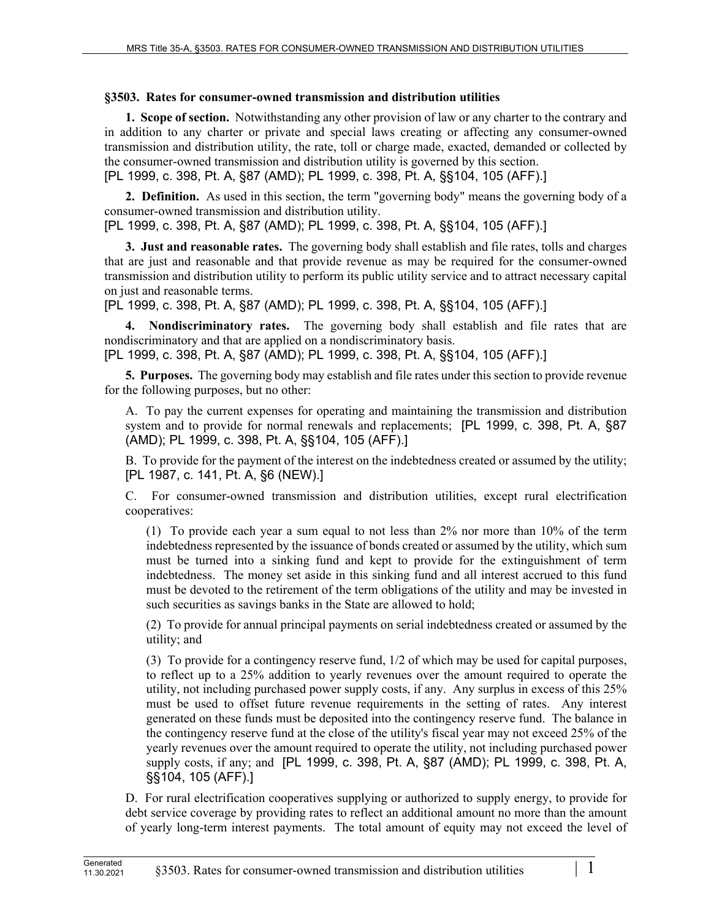## **§3503. Rates for consumer-owned transmission and distribution utilities**

**1. Scope of section.** Notwithstanding any other provision of law or any charter to the contrary and in addition to any charter or private and special laws creating or affecting any consumer-owned transmission and distribution utility, the rate, toll or charge made, exacted, demanded or collected by the consumer-owned transmission and distribution utility is governed by this section. [PL 1999, c. 398, Pt. A, §87 (AMD); PL 1999, c. 398, Pt. A, §§104, 105 (AFF).]

**2. Definition.** As used in this section, the term "governing body" means the governing body of a consumer-owned transmission and distribution utility.

[PL 1999, c. 398, Pt. A, §87 (AMD); PL 1999, c. 398, Pt. A, §§104, 105 (AFF).]

**3. Just and reasonable rates.** The governing body shall establish and file rates, tolls and charges that are just and reasonable and that provide revenue as may be required for the consumer-owned transmission and distribution utility to perform its public utility service and to attract necessary capital on just and reasonable terms.

[PL 1999, c. 398, Pt. A, §87 (AMD); PL 1999, c. 398, Pt. A, §§104, 105 (AFF).]

**4. Nondiscriminatory rates.** The governing body shall establish and file rates that are nondiscriminatory and that are applied on a nondiscriminatory basis.

[PL 1999, c. 398, Pt. A, §87 (AMD); PL 1999, c. 398, Pt. A, §§104, 105 (AFF).]

**5. Purposes.** The governing body may establish and file rates under this section to provide revenue for the following purposes, but no other:

A. To pay the current expenses for operating and maintaining the transmission and distribution system and to provide for normal renewals and replacements; [PL 1999, c. 398, Pt. A, §87 (AMD); PL 1999, c. 398, Pt. A, §§104, 105 (AFF).]

B. To provide for the payment of the interest on the indebtedness created or assumed by the utility; [PL 1987, c. 141, Pt. A, §6 (NEW).]

C. For consumer-owned transmission and distribution utilities, except rural electrification cooperatives:

(1) To provide each year a sum equal to not less than 2% nor more than 10% of the term indebtedness represented by the issuance of bonds created or assumed by the utility, which sum must be turned into a sinking fund and kept to provide for the extinguishment of term indebtedness. The money set aside in this sinking fund and all interest accrued to this fund must be devoted to the retirement of the term obligations of the utility and may be invested in such securities as savings banks in the State are allowed to hold;

(2) To provide for annual principal payments on serial indebtedness created or assumed by the utility; and

(3) To provide for a contingency reserve fund, 1/2 of which may be used for capital purposes, to reflect up to a 25% addition to yearly revenues over the amount required to operate the utility, not including purchased power supply costs, if any. Any surplus in excess of this 25% must be used to offset future revenue requirements in the setting of rates. Any interest generated on these funds must be deposited into the contingency reserve fund. The balance in the contingency reserve fund at the close of the utility's fiscal year may not exceed 25% of the yearly revenues over the amount required to operate the utility, not including purchased power supply costs, if any; and [PL 1999, c. 398, Pt. A, §87 (AMD); PL 1999, c. 398, Pt. A, §§104, 105 (AFF).]

D. For rural electrification cooperatives supplying or authorized to supply energy, to provide for debt service coverage by providing rates to reflect an additional amount no more than the amount of yearly long-term interest payments. The total amount of equity may not exceed the level of